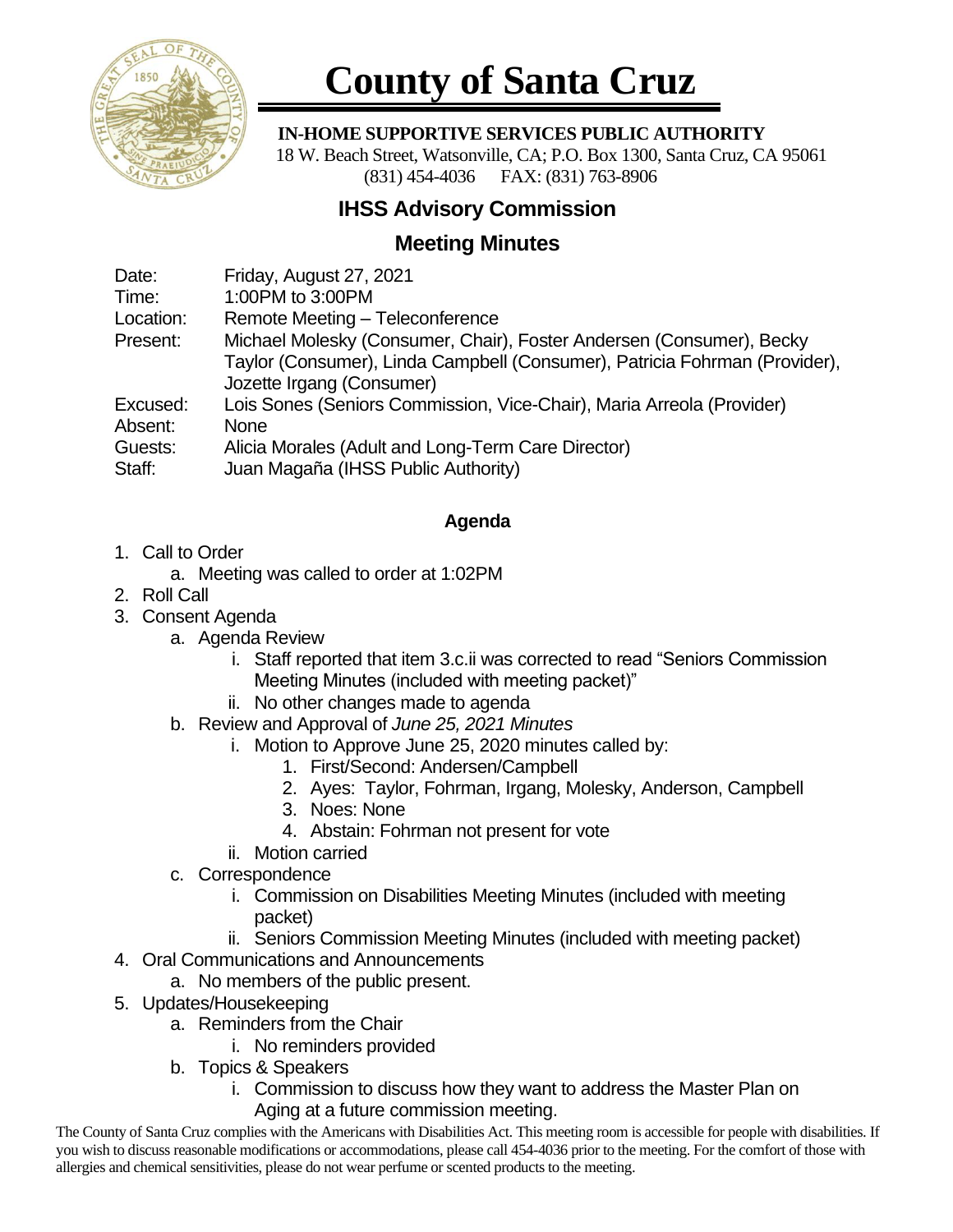

# **County of Santa Cruz**

#### **IN-HOME SUPPORTIVE SERVICES PUBLIC AUTHORITY**

 18 W. Beach Street, Watsonville, CA; P.O. Box 1300, Santa Cruz, CA 95061 (831) 454-4036 FAX: (831) 763-8906

## **IHSS Advisory Commission**

## **Meeting Minutes**

| Date:     | Friday, August 27, 2021                                                                                 |
|-----------|---------------------------------------------------------------------------------------------------------|
| Time:     | 1:00PM to 3:00PM                                                                                        |
| Location: | Remote Meeting - Teleconference                                                                         |
| Present:  | Michael Molesky (Consumer, Chair), Foster Andersen (Consumer), Becky                                    |
|           | Taylor (Consumer), Linda Campbell (Consumer), Patricia Fohrman (Provider),<br>Jozette Irgang (Consumer) |
|           |                                                                                                         |
| Excused:  | Lois Sones (Seniors Commission, Vice-Chair), Maria Arreola (Provider)                                   |
| Absent:   | <b>None</b>                                                                                             |
| Guests:   | Alicia Morales (Adult and Long-Term Care Director)                                                      |
| Staff:    | Juan Magaña (IHSS Public Authority)                                                                     |
|           |                                                                                                         |

## **Agenda**

## 1. Call to Order

- a. Meeting was called to order at 1:02PM
- 2. Roll Call
- 3. Consent Agenda
	- a. Agenda Review
		- i. Staff reported that item 3.c.ii was corrected to read "Seniors Commission Meeting Minutes (included with meeting packet)"
		- ii. No other changes made to agenda
	- b. Review and Approval of *June 25, 2021 Minutes*
		- i. Motion to Approve June 25, 2020 minutes called by:
			- 1. First/Second: Andersen/Campbell
			- 2. Ayes: Taylor, Fohrman, Irgang, Molesky, Anderson, Campbell
			- 3. Noes: None
			- 4. Abstain: Fohrman not present for vote
		- ii. Motion carried
	- c. Correspondence
		- i. Commission on Disabilities Meeting Minutes (included with meeting packet)
		- ii. Seniors Commission Meeting Minutes (included with meeting packet)
- 4. Oral Communications and Announcements
	- a. No members of the public present.
- 5. Updates/Housekeeping
	- a. Reminders from the Chair
		- i. No reminders provided
	- b. Topics & Speakers
		- i. Commission to discuss how they want to address the Master Plan on Aging at a future commission meeting.

The County of Santa Cruz complies with the Americans with Disabilities Act. This meeting room is accessible for people with disabilities. If you wish to discuss reasonable modifications or accommodations, please call 454-4036 prior to the meeting. For the comfort of those with allergies and chemical sensitivities, please do not wear perfume or scented products to the meeting.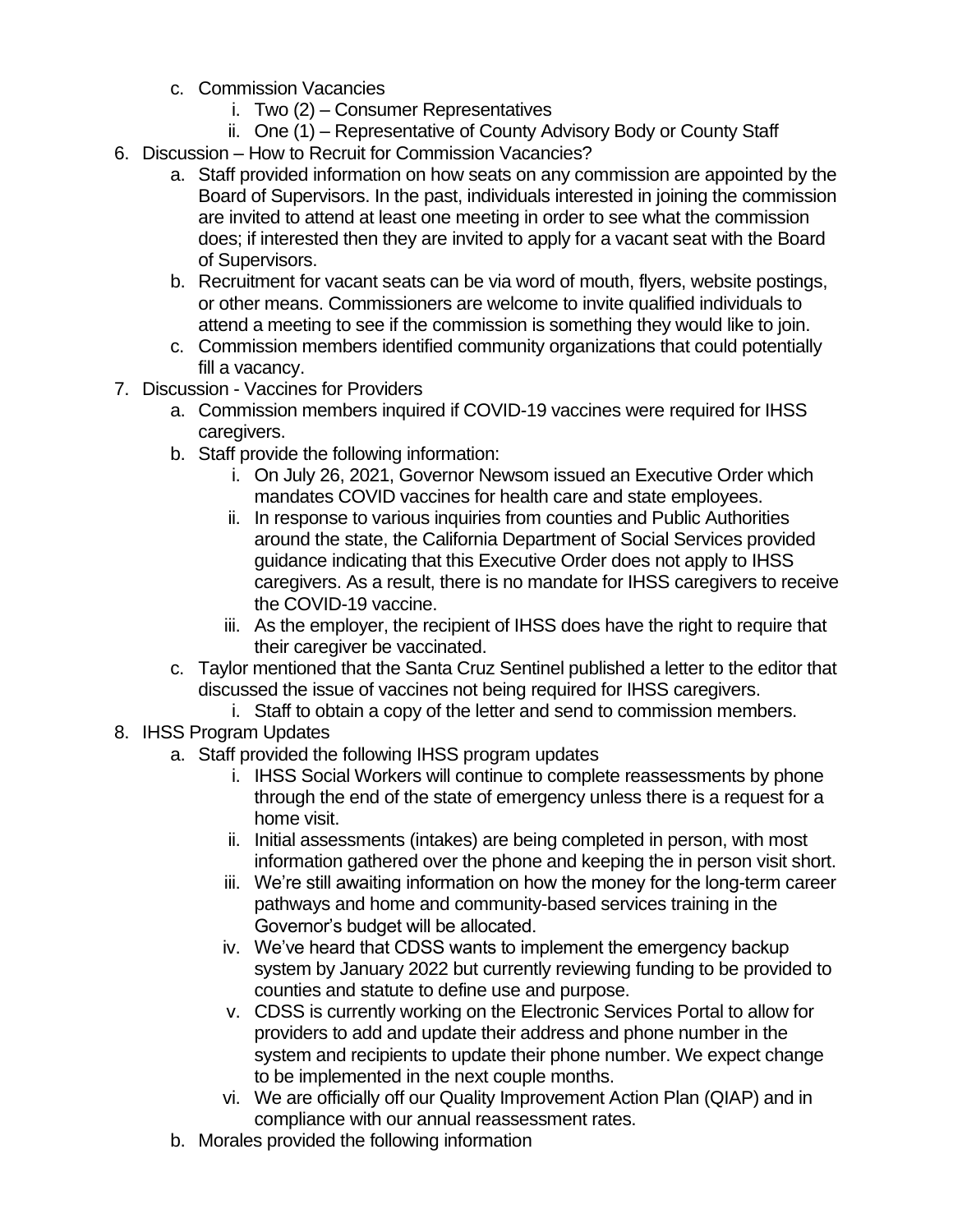- c. Commission Vacancies
	- i. Two (2) Consumer Representatives
	- ii. One (1) Representative of County Advisory Body or County Staff
- 6. Discussion How to Recruit for Commission Vacancies?
	- a. Staff provided information on how seats on any commission are appointed by the Board of Supervisors. In the past, individuals interested in joining the commission are invited to attend at least one meeting in order to see what the commission does; if interested then they are invited to apply for a vacant seat with the Board of Supervisors.
	- b. Recruitment for vacant seats can be via word of mouth, flyers, website postings, or other means. Commissioners are welcome to invite qualified individuals to attend a meeting to see if the commission is something they would like to join.
	- c. Commission members identified community organizations that could potentially fill a vacancy.
- 7. Discussion Vaccines for Providers
	- a. Commission members inquired if COVID-19 vaccines were required for IHSS caregivers.
	- b. Staff provide the following information:
		- i. On July 26, 2021, Governor Newsom issued an Executive Order which mandates COVID vaccines for health care and state employees.
		- ii. In response to various inquiries from counties and Public Authorities around the state, the California Department of Social Services provided guidance indicating that this Executive Order does not apply to IHSS caregivers. As a result, there is no mandate for IHSS caregivers to receive the COVID-19 vaccine.
		- iii. As the employer, the recipient of IHSS does have the right to require that their caregiver be vaccinated.
	- c. Taylor mentioned that the Santa Cruz Sentinel published a letter to the editor that discussed the issue of vaccines not being required for IHSS caregivers.
		- i. Staff to obtain a copy of the letter and send to commission members.
- 8. IHSS Program Updates
	- a. Staff provided the following IHSS program updates
		- i. IHSS Social Workers will continue to complete reassessments by phone through the end of the state of emergency unless there is a request for a home visit.
		- ii. Initial assessments (intakes) are being completed in person, with most information gathered over the phone and keeping the in person visit short.
		- iii. We're still awaiting information on how the money for the long-term career pathways and home and community-based services training in the Governor's budget will be allocated.
		- iv. We've heard that CDSS wants to implement the emergency backup system by January 2022 but currently reviewing funding to be provided to counties and statute to define use and purpose.
		- v. CDSS is currently working on the Electronic Services Portal to allow for providers to add and update their address and phone number in the system and recipients to update their phone number. We expect change to be implemented in the next couple months.
		- vi. We are officially off our Quality Improvement Action Plan (QIAP) and in compliance with our annual reassessment rates.
	- b. Morales provided the following information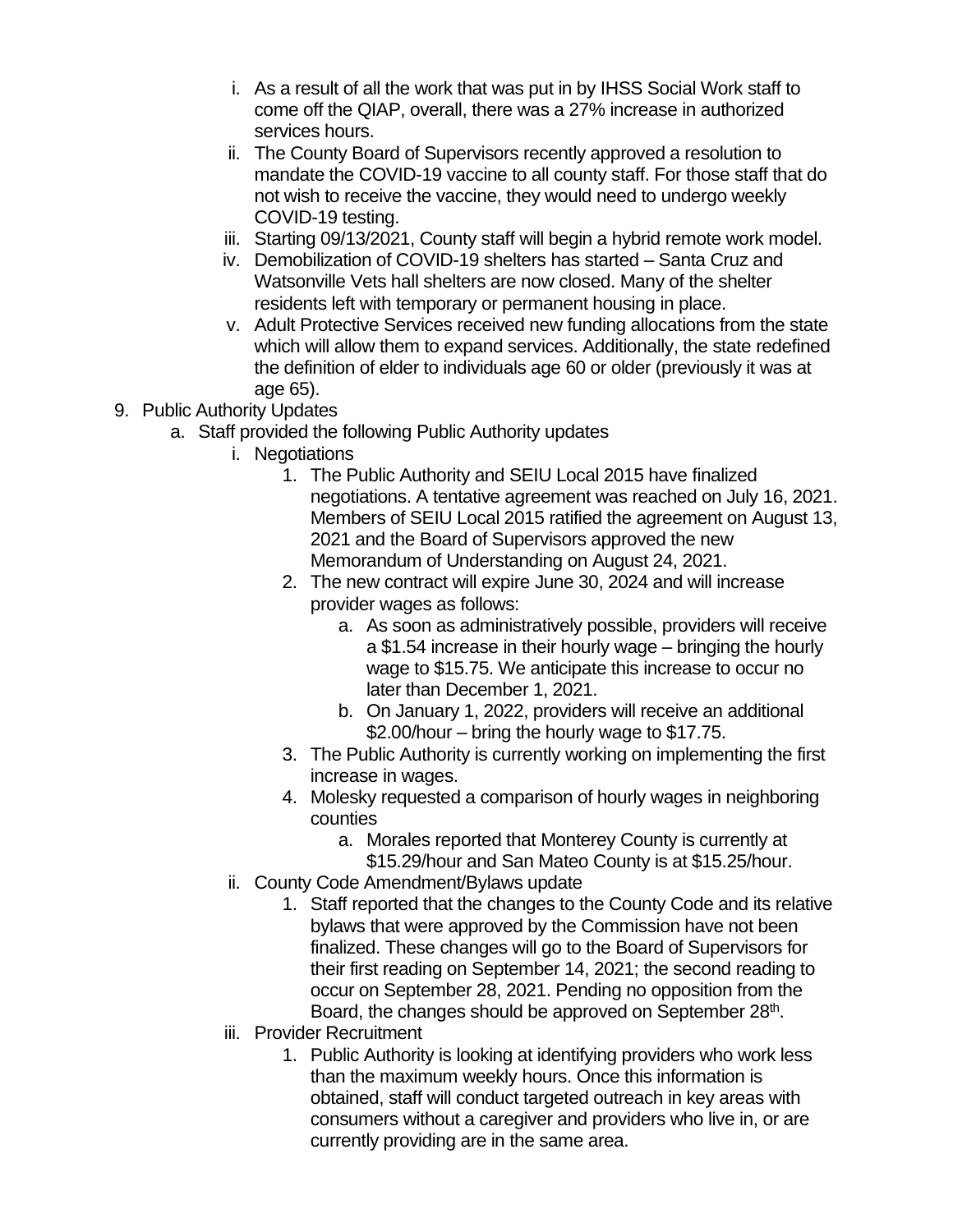- i. As a result of all the work that was put in by IHSS Social Work staff to come off the QIAP, overall, there was a 27% increase in authorized services hours.
- ii. The County Board of Supervisors recently approved a resolution to mandate the COVID-19 vaccine to all county staff. For those staff that do not wish to receive the vaccine, they would need to undergo weekly COVID-19 testing.
- iii. Starting 09/13/2021, County staff will begin a hybrid remote work model.
- iv. Demobilization of COVID-19 shelters has started Santa Cruz and Watsonville Vets hall shelters are now closed. Many of the shelter residents left with temporary or permanent housing in place.
- v. Adult Protective Services received new funding allocations from the state which will allow them to expand services. Additionally, the state redefined the definition of elder to individuals age 60 or older (previously it was at age 65).
- 9. Public Authority Updates
	- a. Staff provided the following Public Authority updates
		- i. Negotiations
			- 1. The Public Authority and SEIU Local 2015 have finalized negotiations. A tentative agreement was reached on July 16, 2021. Members of SEIU Local 2015 ratified the agreement on August 13, 2021 and the Board of Supervisors approved the new Memorandum of Understanding on August 24, 2021.
			- 2. The new contract will expire June 30, 2024 and will increase provider wages as follows:
				- a. As soon as administratively possible, providers will receive a \$1.54 increase in their hourly wage – bringing the hourly wage to \$15.75. We anticipate this increase to occur no later than December 1, 2021.
				- b. On January 1, 2022, providers will receive an additional \$2.00/hour – bring the hourly wage to \$17.75.
			- 3. The Public Authority is currently working on implementing the first increase in wages.
			- 4. Molesky requested a comparison of hourly wages in neighboring counties
				- a. Morales reported that Monterey County is currently at
					- \$15.29/hour and San Mateo County is at \$15.25/hour.
			- ii. County Code Amendment/Bylaws update
				- 1. Staff reported that the changes to the County Code and its relative bylaws that were approved by the Commission have not been finalized. These changes will go to the Board of Supervisors for their first reading on September 14, 2021; the second reading to occur on September 28, 2021. Pending no opposition from the Board, the changes should be approved on September 28<sup>th</sup>.
			- iii. Provider Recruitment
				- 1. Public Authority is looking at identifying providers who work less than the maximum weekly hours. Once this information is obtained, staff will conduct targeted outreach in key areas with consumers without a caregiver and providers who live in, or are currently providing are in the same area.